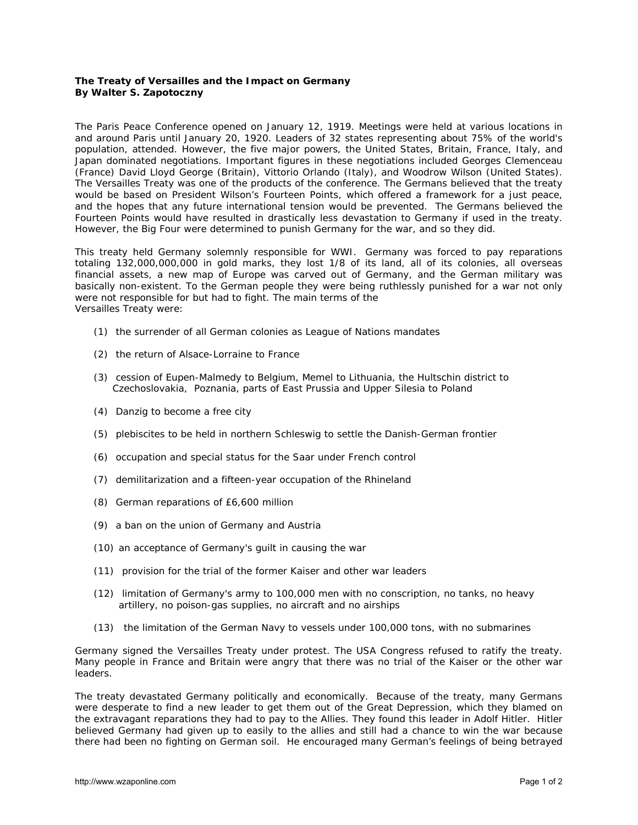## **The Treaty of Versailles and the Impact on Germany By Walter S. Zapotoczny**

The Paris Peace Conference opened on January 12, 1919. Meetings were held at various locations in and around Paris until January 20, 1920. Leaders of 32 states representing about 75% of the world's population, attended. However, the five major powers, the United States, Britain, France, Italy, and Japan dominated negotiations. Important figures in these negotiations included Georges Clemenceau (France) David Lloyd George (Britain), Vittorio Orlando (Italy), and Woodrow Wilson (United States). The Versailles Treaty was one of the products of the conference. The Germans believed that the treaty would be based on President Wilson's Fourteen Points, which offered a framework for a just peace, and the hopes that any future international tension would be prevented. The Germans believed the Fourteen Points would have resulted in drastically less devastation to Germany if used in the treaty. However, the Big Four were determined to punish Germany for the war, and so they did.

This treaty held Germany solemnly responsible for WWI. Germany was forced to pay reparations totaling 132,000,000,000 in gold marks, they lost 1/8 of its land, all of its colonies, all overseas financial assets, a new map of Europe was carved out of Germany, and the German military was basically non-existent. To the German people they were being ruthlessly punished for a war not only were not responsible for but had to fight. The main terms of the Versailles Treaty were:

- (1) the surrender of all German colonies as League of Nations mandates
- (2) the return of Alsace-Lorraine to France
- (3) cession of Eupen-Malmedy to Belgium, Memel to Lithuania, the Hultschin district to Czechoslovakia, Poznania, parts of East Prussia and Upper Silesia to Poland
- (4) Danzig to become a free city
- (5) plebiscites to be held in northern Schleswig to settle the Danish-German frontier
- (6) occupation and special status for the Saar under French control
- (7) demilitarization and a fifteen-year occupation of the Rhineland
- (8) German reparations of £6,600 million
- (9) a ban on the union of Germany and Austria
- (10) an acceptance of Germany's guilt in causing the war
- (11) provision for the trial of the former Kaiser and other war leaders
- (12) limitation of Germany's army to 100,000 men with no conscription, no tanks, no heavy artillery, no poison-gas supplies, no aircraft and no airships
- (13) the limitation of the German Navy to vessels under 100,000 tons, with no submarines

Germany signed the Versailles Treaty under protest. The USA Congress refused to ratify the treaty. Many people in France and Britain were angry that there was no trial of the Kaiser or the other war leaders.

The treaty devastated Germany politically and economically. Because of the treaty, many Germans were desperate to find a new leader to get them out of the Great Depression, which they blamed on the extravagant reparations they had to pay to the Allies. They found this leader in Adolf Hitler. Hitler believed Germany had given up to easily to the allies and still had a chance to win the war because there had been no fighting on German soil. He encouraged many German's feelings of being betrayed